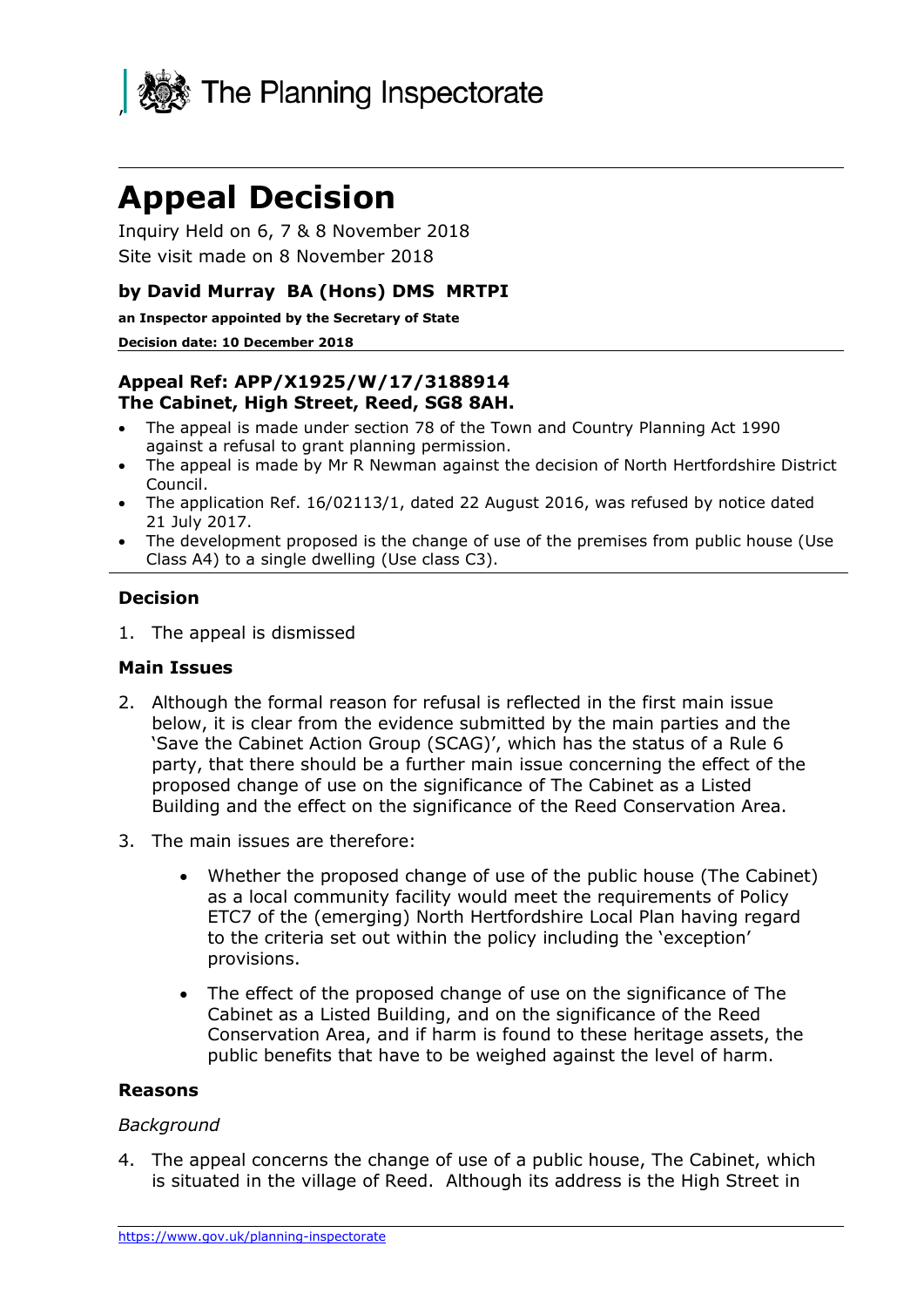

# **Appeal Decision**

Inquiry Held on 6, 7 & 8 November 2018 Site visit made on 8 November 2018

## **by David Murray BA (Hons) DMS MRTPI**

**an Inspector appointed by the Secretary of State** 

#### **Decision date: 10 December 2018**

#### **Appeal Ref: APP/X1925/W/17/3188914 The Cabinet, High Street, Reed, SG8 8AH.**

- The appeal is made under section 78 of the Town and Country Planning Act 1990 against a refusal to grant planning permission.
- The appeal is made by Mr R Newman against the decision of North Hertfordshire District Council.
- The application Ref. 16/02113/1, dated 22 August 2016, was refused by notice dated 21 July 2017.
- The development proposed is the change of use of the premises from public house (Use Class A4) to a single dwelling (Use class C3).

#### **Decision**

1. The appeal is dismissed

#### **Main Issues**

- 2. Although the formal reason for refusal is reflected in the first main issue below, it is clear from the evidence submitted by the main parties and the 'Save the Cabinet Action Group (SCAG)', which has the status of a Rule 6 party, that there should be a further main issue concerning the effect of the proposed change of use on the significance of The Cabinet as a Listed Building and the effect on the significance of the Reed Conservation Area.
- 3. The main issues are therefore:
	- Whether the proposed change of use of the public house (The Cabinet) as a local community facility would meet the requirements of Policy ETC7 of the (emerging) North Hertfordshire Local Plan having regard to the criteria set out within the policy including the 'exception' provisions.
	- The effect of the proposed change of use on the significance of The Cabinet as a Listed Building, and on the significance of the Reed Conservation Area, and if harm is found to these heritage assets, the public benefits that have to be weighed against the level of harm.

#### **Reasons**

#### *Background*

4. The appeal concerns the change of use of a public house, The Cabinet, which is situated in the village of Reed. Although its address is the High Street in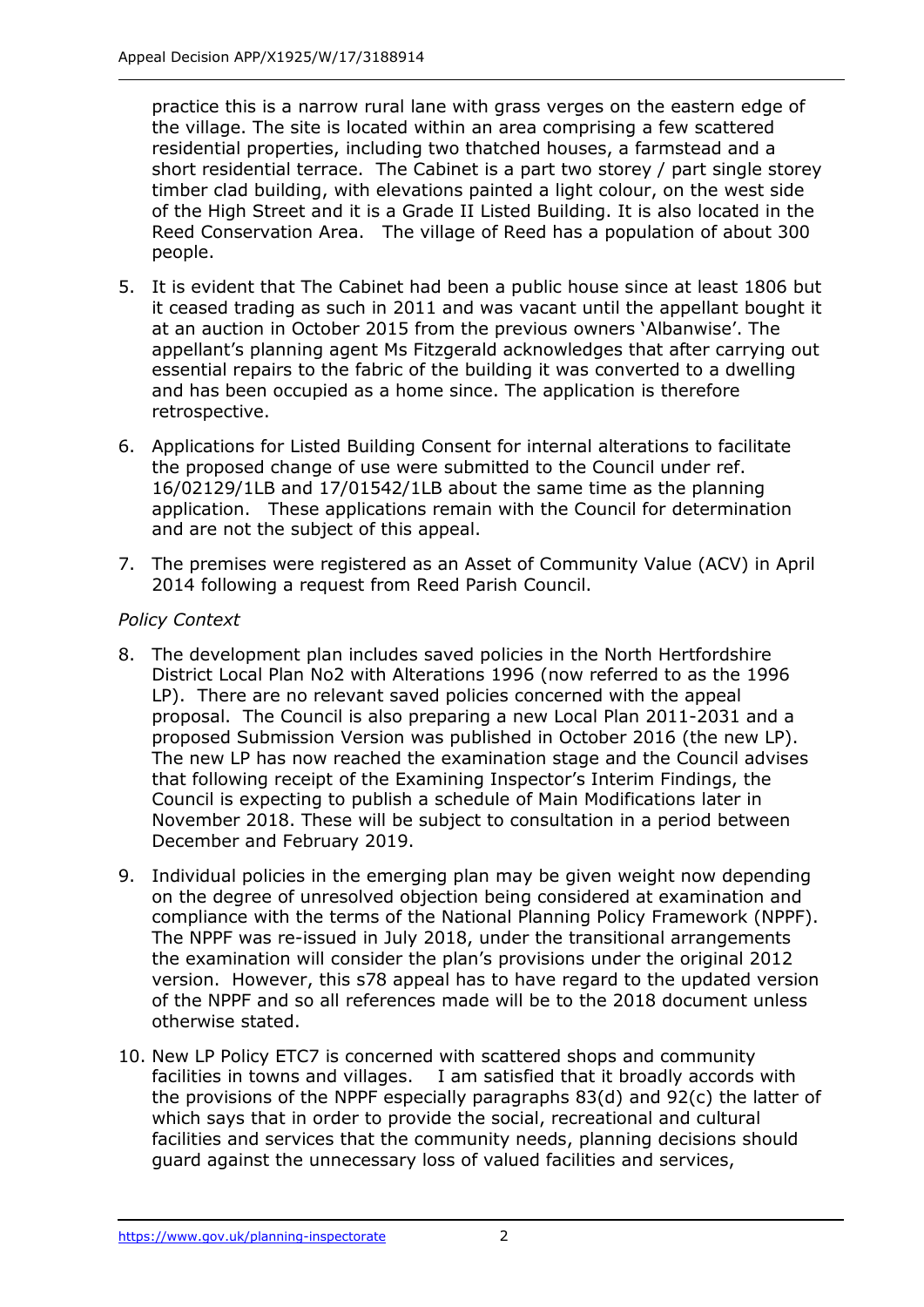practice this is a narrow rural lane with grass verges on the eastern edge of the village. The site is located within an area comprising a few scattered residential properties, including two thatched houses, a farmstead and a short residential terrace. The Cabinet is a part two storey / part single storey timber clad building, with elevations painted a light colour, on the west side of the High Street and it is a Grade II Listed Building. It is also located in the Reed Conservation Area. The village of Reed has a population of about 300 people.

- 5. It is evident that The Cabinet had been a public house since at least 1806 but it ceased trading as such in 2011 and was vacant until the appellant bought it at an auction in October 2015 from the previous owners 'Albanwise'. The appellant's planning agent Ms Fitzgerald acknowledges that after carrying out essential repairs to the fabric of the building it was converted to a dwelling and has been occupied as a home since. The application is therefore retrospective.
- 6. Applications for Listed Building Consent for internal alterations to facilitate the proposed change of use were submitted to the Council under ref. 16/02129/1LB and 17/01542/1LB about the same time as the planning application. These applications remain with the Council for determination and are not the subject of this appeal.
- 7. The premises were registered as an Asset of Community Value (ACV) in April 2014 following a request from Reed Parish Council.

# *Policy Context*

- 8. The development plan includes saved policies in the North Hertfordshire District Local Plan No2 with Alterations 1996 (now referred to as the 1996 LP). There are no relevant saved policies concerned with the appeal proposal. The Council is also preparing a new Local Plan 2011-2031 and a proposed Submission Version was published in October 2016 (the new LP). The new LP has now reached the examination stage and the Council advises that following receipt of the Examining Inspector's Interim Findings, the Council is expecting to publish a schedule of Main Modifications later in November 2018. These will be subject to consultation in a period between December and February 2019.
- 9. Individual policies in the emerging plan may be given weight now depending on the degree of unresolved objection being considered at examination and compliance with the terms of the National Planning Policy Framework (NPPF). The NPPF was re-issued in July 2018, under the transitional arrangements the examination will consider the plan's provisions under the original 2012 version. However, this s78 appeal has to have regard to the updated version of the NPPF and so all references made will be to the 2018 document unless otherwise stated.
- 10. New LP Policy ETC7 is concerned with scattered shops and community facilities in towns and villages. I am satisfied that it broadly accords with the provisions of the NPPF especially paragraphs 83(d) and 92(c) the latter of which says that in order to provide the social, recreational and cultural facilities and services that the community needs, planning decisions should guard against the unnecessary loss of valued facilities and services,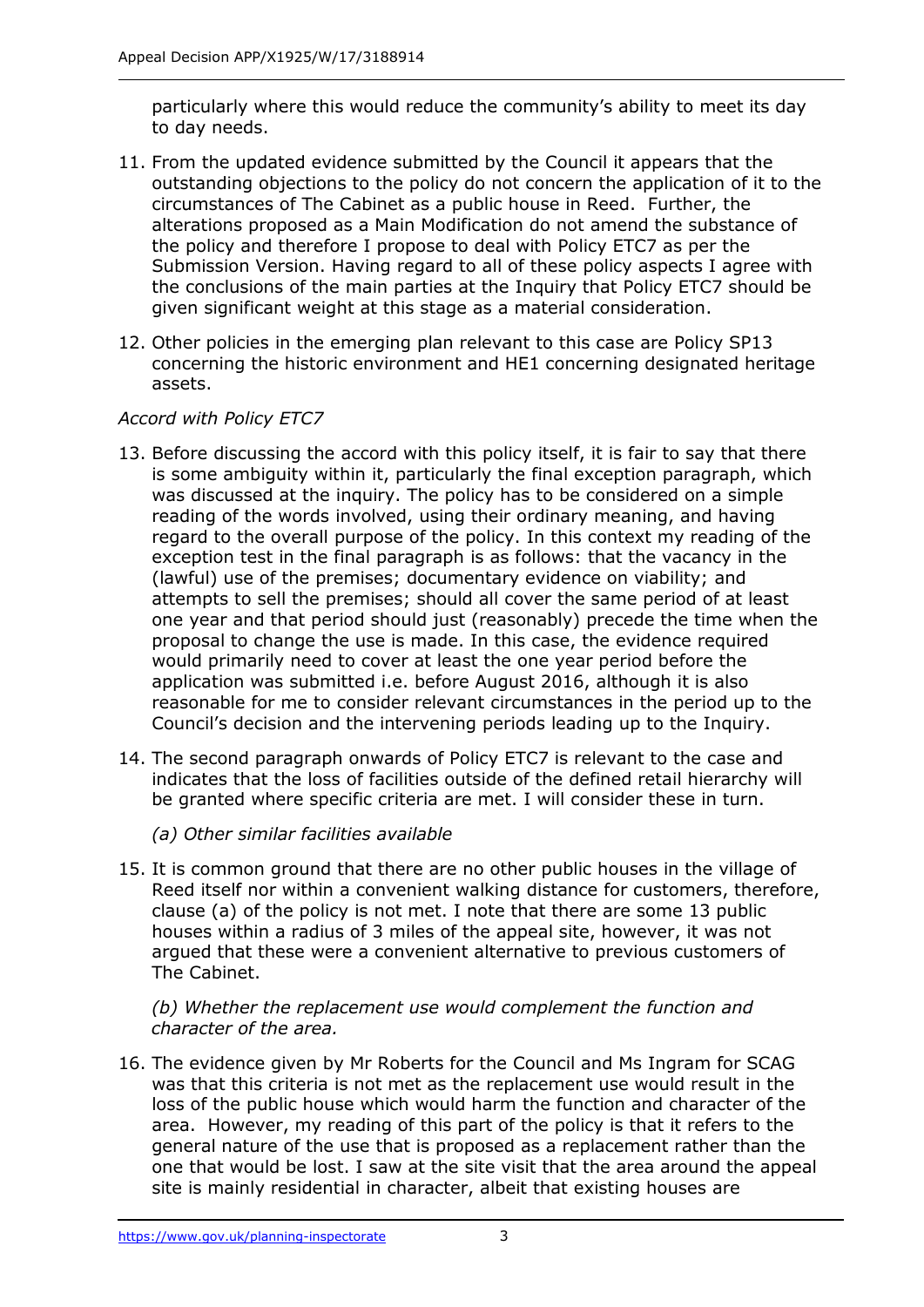particularly where this would reduce the community's ability to meet its day to day needs.

- 11. From the updated evidence submitted by the Council it appears that the outstanding objections to the policy do not concern the application of it to the circumstances of The Cabinet as a public house in Reed. Further, the alterations proposed as a Main Modification do not amend the substance of the policy and therefore I propose to deal with Policy ETC7 as per the Submission Version. Having regard to all of these policy aspects I agree with the conclusions of the main parties at the Inquiry that Policy ETC7 should be given significant weight at this stage as a material consideration.
- 12. Other policies in the emerging plan relevant to this case are Policy SP13 concerning the historic environment and HE1 concerning designated heritage assets.

# *Accord with Policy ETC7*

- 13. Before discussing the accord with this policy itself, it is fair to say that there is some ambiguity within it, particularly the final exception paragraph, which was discussed at the inquiry. The policy has to be considered on a simple reading of the words involved, using their ordinary meaning, and having regard to the overall purpose of the policy. In this context my reading of the exception test in the final paragraph is as follows: that the vacancy in the (lawful) use of the premises; documentary evidence on viability; and attempts to sell the premises; should all cover the same period of at least one year and that period should just (reasonably) precede the time when the proposal to change the use is made. In this case, the evidence required would primarily need to cover at least the one year period before the application was submitted i.e. before August 2016, although it is also reasonable for me to consider relevant circumstances in the period up to the Council's decision and the intervening periods leading up to the Inquiry.
- 14. The second paragraph onwards of Policy ETC7 is relevant to the case and indicates that the loss of facilities outside of the defined retail hierarchy will be granted where specific criteria are met. I will consider these in turn.

# *(a) Other similar facilities available*

15. It is common ground that there are no other public houses in the village of Reed itself nor within a convenient walking distance for customers, therefore, clause (a) of the policy is not met. I note that there are some 13 public houses within a radius of 3 miles of the appeal site, however, it was not argued that these were a convenient alternative to previous customers of The Cabinet.

*(b) Whether the replacement use would complement the function and character of the area.*

16. The evidence given by Mr Roberts for the Council and Ms Ingram for SCAG was that this criteria is not met as the replacement use would result in the loss of the public house which would harm the function and character of the area. However, my reading of this part of the policy is that it refers to the general nature of the use that is proposed as a replacement rather than the one that would be lost. I saw at the site visit that the area around the appeal site is mainly residential in character, albeit that existing houses are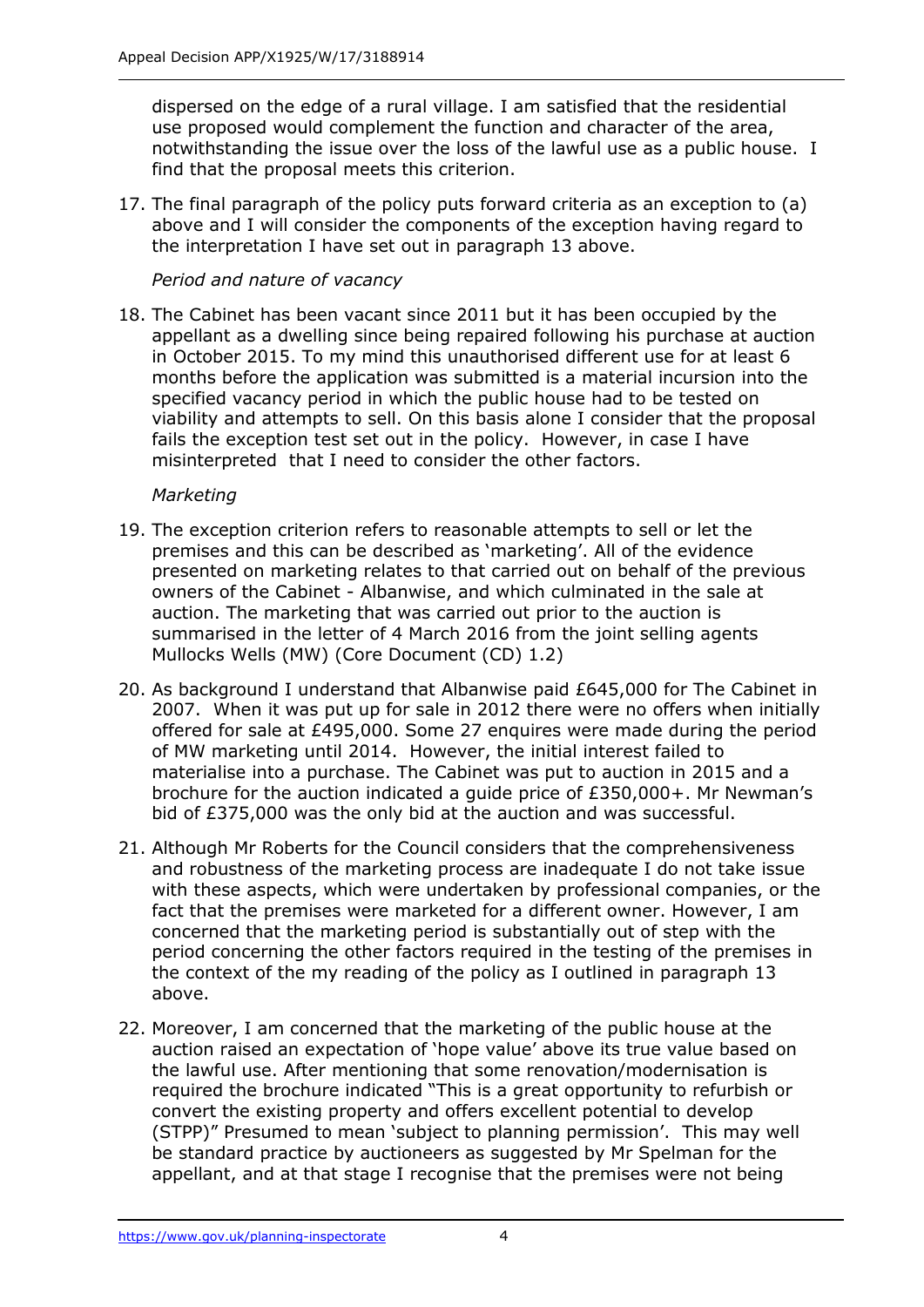dispersed on the edge of a rural village. I am satisfied that the residential use proposed would complement the function and character of the area, notwithstanding the issue over the loss of the lawful use as a public house. I find that the proposal meets this criterion.

17. The final paragraph of the policy puts forward criteria as an exception to (a) above and I will consider the components of the exception having regard to the interpretation I have set out in paragraph 13 above.

*Period and nature of vacancy*

18. The Cabinet has been vacant since 2011 but it has been occupied by the appellant as a dwelling since being repaired following his purchase at auction in October 2015. To my mind this unauthorised different use for at least 6 months before the application was submitted is a material incursion into the specified vacancy period in which the public house had to be tested on viability and attempts to sell. On this basis alone I consider that the proposal fails the exception test set out in the policy. However, in case I have misinterpreted that I need to consider the other factors.

## *Marketing*

- 19. The exception criterion refers to reasonable attempts to sell or let the premises and this can be described as 'marketing'. All of the evidence presented on marketing relates to that carried out on behalf of the previous owners of the Cabinet - Albanwise, and which culminated in the sale at auction. The marketing that was carried out prior to the auction is summarised in the letter of 4 March 2016 from the joint selling agents Mullocks Wells (MW) (Core Document (CD) 1.2)
- 20. As background I understand that Albanwise paid £645,000 for The Cabinet in 2007. When it was put up for sale in 2012 there were no offers when initially offered for sale at £495,000. Some 27 enquires were made during the period of MW marketing until 2014. However, the initial interest failed to materialise into a purchase. The Cabinet was put to auction in 2015 and a brochure for the auction indicated a guide price of £350,000+. Mr Newman's bid of £375,000 was the only bid at the auction and was successful.
- 21. Although Mr Roberts for the Council considers that the comprehensiveness and robustness of the marketing process are inadequate I do not take issue with these aspects, which were undertaken by professional companies, or the fact that the premises were marketed for a different owner. However, I am concerned that the marketing period is substantially out of step with the period concerning the other factors required in the testing of the premises in the context of the my reading of the policy as I outlined in paragraph 13 above.
- 22. Moreover, I am concerned that the marketing of the public house at the auction raised an expectation of 'hope value' above its true value based on the lawful use. After mentioning that some renovation/modernisation is required the brochure indicated "This is a great opportunity to refurbish or convert the existing property and offers excellent potential to develop (STPP)" Presumed to mean 'subject to planning permission'. This may well be standard practice by auctioneers as suggested by Mr Spelman for the appellant, and at that stage I recognise that the premises were not being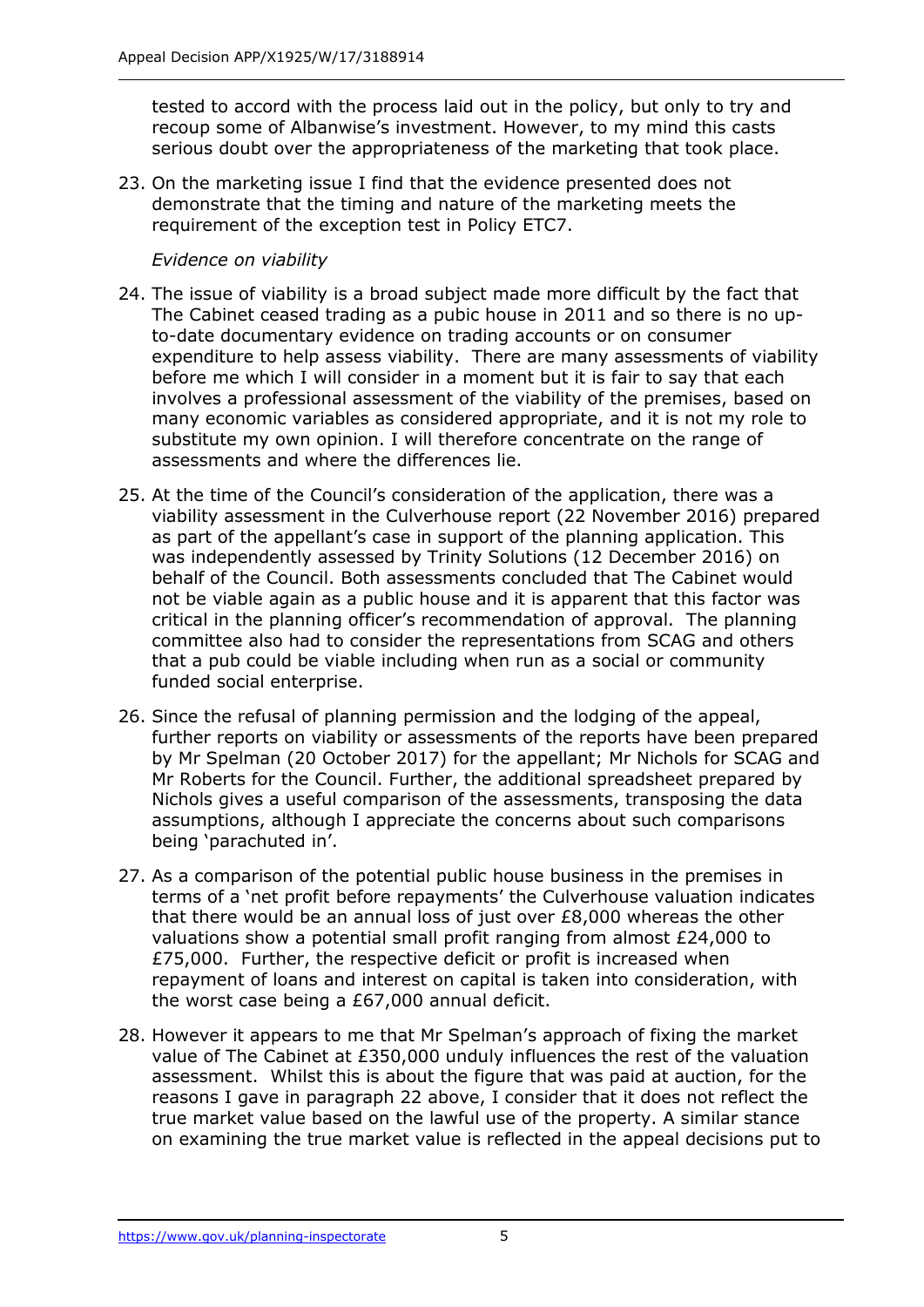tested to accord with the process laid out in the policy, but only to try and recoup some of Albanwise's investment. However, to my mind this casts serious doubt over the appropriateness of the marketing that took place.

23. On the marketing issue I find that the evidence presented does not demonstrate that the timing and nature of the marketing meets the requirement of the exception test in Policy ETC7.

## *Evidence on viability*

- 24. The issue of viability is a broad subject made more difficult by the fact that The Cabinet ceased trading as a pubic house in 2011 and so there is no upto-date documentary evidence on trading accounts or on consumer expenditure to help assess viability. There are many assessments of viability before me which I will consider in a moment but it is fair to say that each involves a professional assessment of the viability of the premises, based on many economic variables as considered appropriate, and it is not my role to substitute my own opinion. I will therefore concentrate on the range of assessments and where the differences lie.
- 25. At the time of the Council's consideration of the application, there was a viability assessment in the Culverhouse report (22 November 2016) prepared as part of the appellant's case in support of the planning application. This was independently assessed by Trinity Solutions (12 December 2016) on behalf of the Council. Both assessments concluded that The Cabinet would not be viable again as a public house and it is apparent that this factor was critical in the planning officer's recommendation of approval. The planning committee also had to consider the representations from SCAG and others that a pub could be viable including when run as a social or community funded social enterprise.
- 26. Since the refusal of planning permission and the lodging of the appeal, further reports on viability or assessments of the reports have been prepared by Mr Spelman (20 October 2017) for the appellant; Mr Nichols for SCAG and Mr Roberts for the Council. Further, the additional spreadsheet prepared by Nichols gives a useful comparison of the assessments, transposing the data assumptions, although I appreciate the concerns about such comparisons being 'parachuted in'.
- 27. As a comparison of the potential public house business in the premises in terms of a 'net profit before repayments' the Culverhouse valuation indicates that there would be an annual loss of just over £8,000 whereas the other valuations show a potential small profit ranging from almost £24,000 to £75,000. Further, the respective deficit or profit is increased when repayment of loans and interest on capital is taken into consideration, with the worst case being a £67,000 annual deficit.
- 28. However it appears to me that Mr Spelman's approach of fixing the market value of The Cabinet at £350,000 unduly influences the rest of the valuation assessment. Whilst this is about the figure that was paid at auction, for the reasons I gave in paragraph 22 above, I consider that it does not reflect the true market value based on the lawful use of the property. A similar stance on examining the true market value is reflected in the appeal decisions put to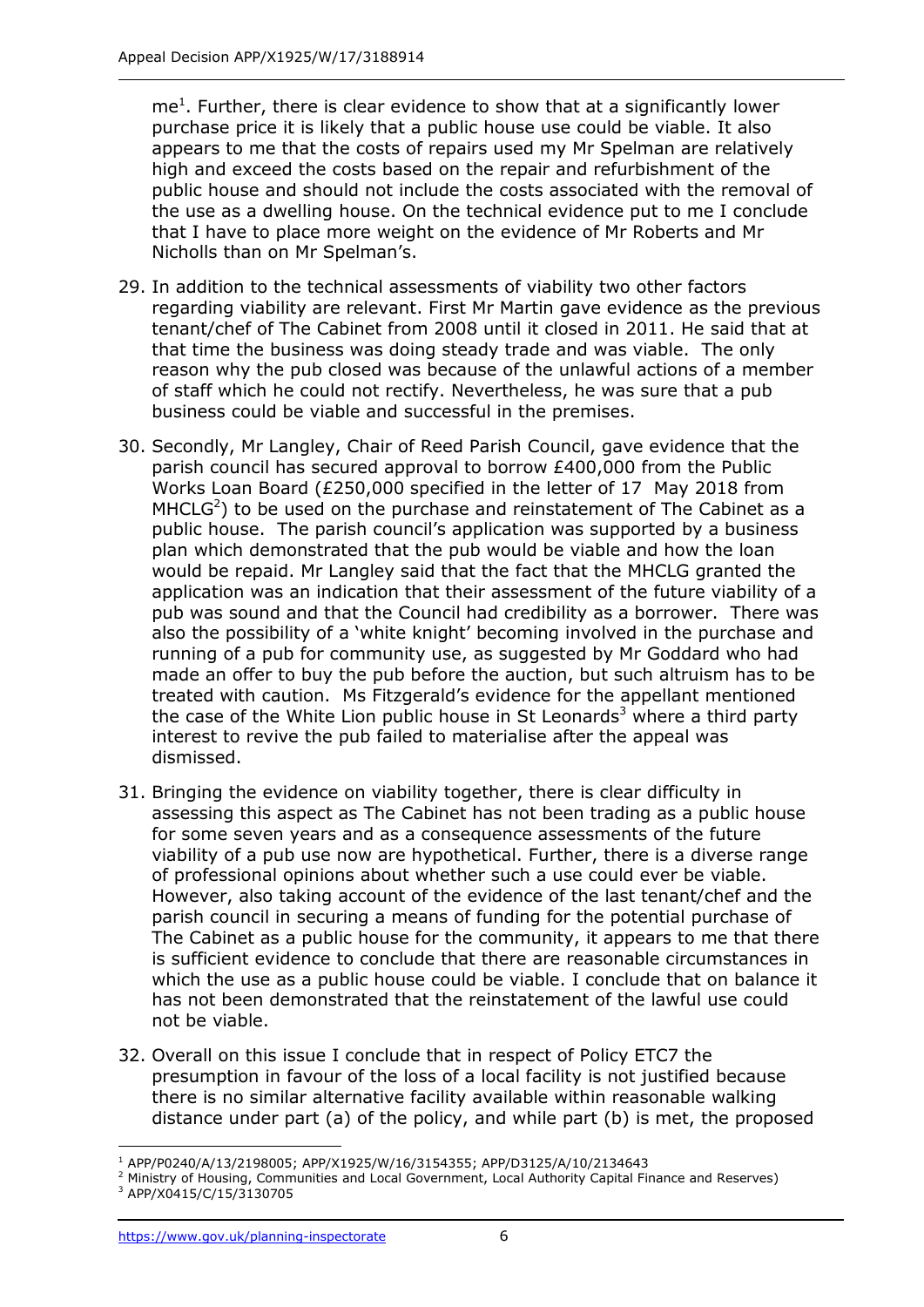$me<sup>1</sup>$ . Further, there is clear evidence to show that at a significantly lower purchase price it is likely that a public house use could be viable. It also appears to me that the costs of repairs used my Mr Spelman are relatively high and exceed the costs based on the repair and refurbishment of the public house and should not include the costs associated with the removal of the use as a dwelling house. On the technical evidence put to me I conclude that I have to place more weight on the evidence of Mr Roberts and Mr Nicholls than on Mr Spelman's.

- 29. In addition to the technical assessments of viability two other factors regarding viability are relevant. First Mr Martin gave evidence as the previous tenant/chef of The Cabinet from 2008 until it closed in 2011. He said that at that time the business was doing steady trade and was viable. The only reason why the pub closed was because of the unlawful actions of a member of staff which he could not rectify. Nevertheless, he was sure that a pub business could be viable and successful in the premises.
- 30. Secondly, Mr Langley, Chair of Reed Parish Council, gave evidence that the parish council has secured approval to borrow £400,000 from the Public Works Loan Board (£250,000 specified in the letter of 17 May 2018 from  $MHCLG<sup>2</sup>$ ) to be used on the purchase and reinstatement of The Cabinet as a public house. The parish council's application was supported by a business plan which demonstrated that the pub would be viable and how the loan would be repaid. Mr Langley said that the fact that the MHCLG granted the application was an indication that their assessment of the future viability of a pub was sound and that the Council had credibility as a borrower. There was also the possibility of a 'white knight' becoming involved in the purchase and running of a pub for community use, as suggested by Mr Goddard who had made an offer to buy the pub before the auction, but such altruism has to be treated with caution. Ms Fitzgerald's evidence for the appellant mentioned the case of the White Lion public house in St Leonards<sup>3</sup> where a third party interest to revive the pub failed to materialise after the appeal was dismissed.
- 31. Bringing the evidence on viability together, there is clear difficulty in assessing this aspect as The Cabinet has not been trading as a public house for some seven years and as a consequence assessments of the future viability of a pub use now are hypothetical. Further, there is a diverse range of professional opinions about whether such a use could ever be viable. However, also taking account of the evidence of the last tenant/chef and the parish council in securing a means of funding for the potential purchase of The Cabinet as a public house for the community, it appears to me that there is sufficient evidence to conclude that there are reasonable circumstances in which the use as a public house could be viable. I conclude that on balance it has not been demonstrated that the reinstatement of the lawful use could not be viable.
- 32. Overall on this issue I conclude that in respect of Policy ETC7 the presumption in favour of the loss of a local facility is not justified because there is no similar alternative facility available within reasonable walking distance under part (a) of the policy, and while part (b) is met, the proposed

j

<sup>1</sup> APP/P0240/A/13/2198005; APP/X1925/W/16/3154355; APP/D3125/A/10/2134643

<sup>2</sup> Ministry of Housing, Communities and Local Government, Local Authority Capital Finance and Reserves) <sup>3</sup> APP/X0415/C/15/3130705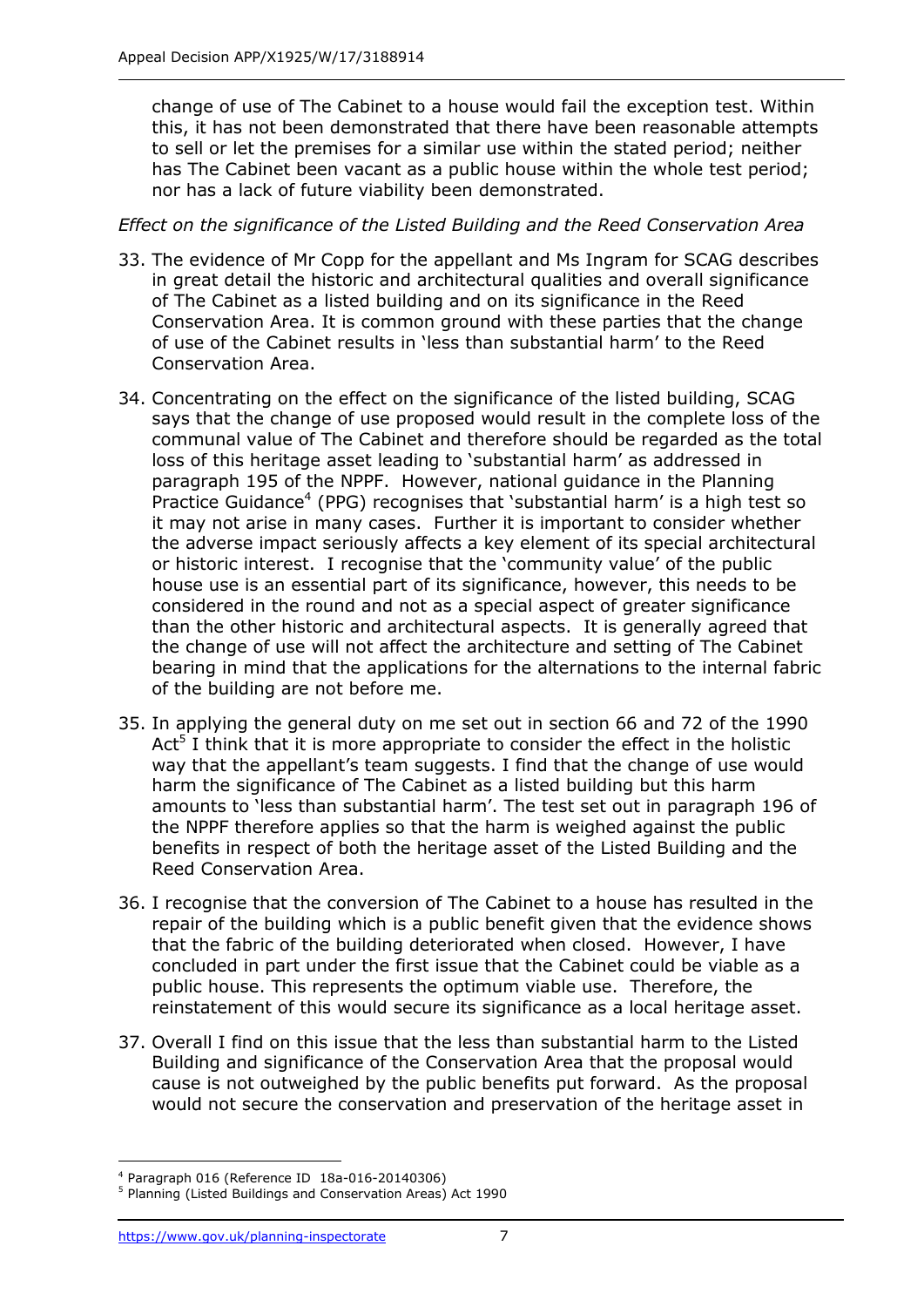change of use of The Cabinet to a house would fail the exception test. Within this, it has not been demonstrated that there have been reasonable attempts to sell or let the premises for a similar use within the stated period; neither has The Cabinet been vacant as a public house within the whole test period; nor has a lack of future viability been demonstrated.

## *Effect on the significance of the Listed Building and the Reed Conservation Area*

- 33. The evidence of Mr Copp for the appellant and Ms Ingram for SCAG describes in great detail the historic and architectural qualities and overall significance of The Cabinet as a listed building and on its significance in the Reed Conservation Area. It is common ground with these parties that the change of use of the Cabinet results in 'less than substantial harm' to the Reed Conservation Area.
- 34. Concentrating on the effect on the significance of the listed building, SCAG says that the change of use proposed would result in the complete loss of the communal value of The Cabinet and therefore should be regarded as the total loss of this heritage asset leading to 'substantial harm' as addressed in paragraph 195 of the NPPF. However, national guidance in the Planning Practice Guidance<sup>4</sup> (PPG) recognises that 'substantial harm' is a high test so it may not arise in many cases. Further it is important to consider whether the adverse impact seriously affects a key element of its special architectural or historic interest. I recognise that the 'community value' of the public house use is an essential part of its significance, however, this needs to be considered in the round and not as a special aspect of greater significance than the other historic and architectural aspects. It is generally agreed that the change of use will not affect the architecture and setting of The Cabinet bearing in mind that the applications for the alternations to the internal fabric of the building are not before me.
- 35. In applying the general duty on me set out in section 66 and 72 of the 1990 Act<sup>5</sup> I think that it is more appropriate to consider the effect in the holistic way that the appellant's team suggests. I find that the change of use would harm the significance of The Cabinet as a listed building but this harm amounts to 'less than substantial harm'. The test set out in paragraph 196 of the NPPF therefore applies so that the harm is weighed against the public benefits in respect of both the heritage asset of the Listed Building and the Reed Conservation Area.
- 36. I recognise that the conversion of The Cabinet to a house has resulted in the repair of the building which is a public benefit given that the evidence shows that the fabric of the building deteriorated when closed. However, I have concluded in part under the first issue that the Cabinet could be viable as a public house. This represents the optimum viable use. Therefore, the reinstatement of this would secure its significance as a local heritage asset.
- 37. Overall I find on this issue that the less than substantial harm to the Listed Building and significance of the Conservation Area that the proposal would cause is not outweighed by the public benefits put forward. As the proposal would not secure the conservation and preservation of the heritage asset in

j <sup>4</sup> Paragraph 016 (Reference ID 18a-016-20140306)

<sup>5</sup> Planning (Listed Buildings and Conservation Areas) Act 1990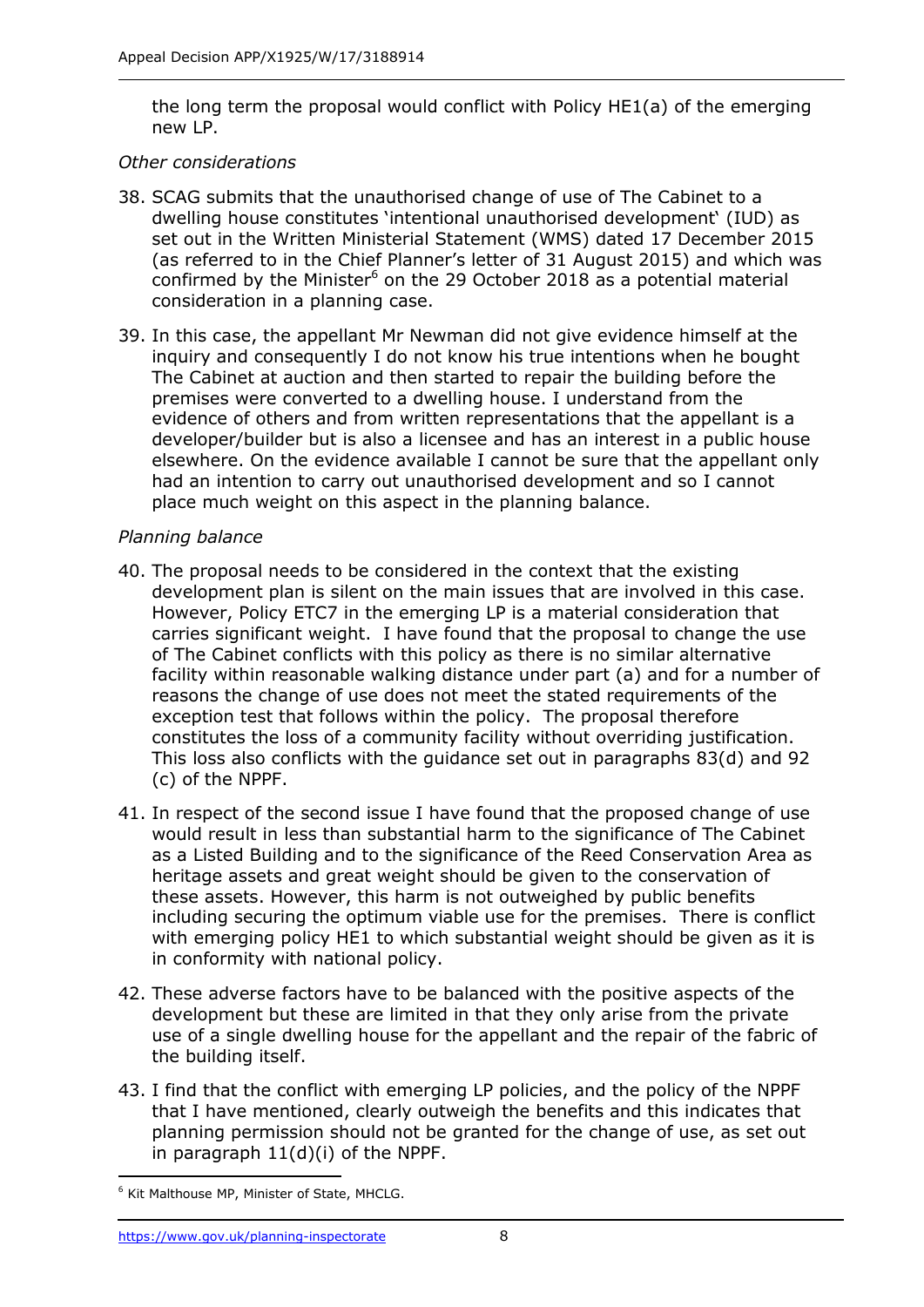the long term the proposal would conflict with Policy HE1(a) of the emerging new LP.

#### *Other considerations*

- 38. SCAG submits that the unauthorised change of use of The Cabinet to a dwelling house constitutes 'intentional unauthorised development' (IUD) as set out in the Written Ministerial Statement (WMS) dated 17 December 2015 (as referred to in the Chief Planner's letter of 31 August 2015) and which was confirmed by the Minister<sup>6</sup> on the 29 October 2018 as a potential material consideration in a planning case.
- 39. In this case, the appellant Mr Newman did not give evidence himself at the inquiry and consequently I do not know his true intentions when he bought The Cabinet at auction and then started to repair the building before the premises were converted to a dwelling house. I understand from the evidence of others and from written representations that the appellant is a developer/builder but is also a licensee and has an interest in a public house elsewhere. On the evidence available I cannot be sure that the appellant only had an intention to carry out unauthorised development and so I cannot place much weight on this aspect in the planning balance.

## *Planning balance*

- 40. The proposal needs to be considered in the context that the existing development plan is silent on the main issues that are involved in this case. However, Policy ETC7 in the emerging LP is a material consideration that carries significant weight. I have found that the proposal to change the use of The Cabinet conflicts with this policy as there is no similar alternative facility within reasonable walking distance under part (a) and for a number of reasons the change of use does not meet the stated requirements of the exception test that follows within the policy. The proposal therefore constitutes the loss of a community facility without overriding justification. This loss also conflicts with the guidance set out in paragraphs 83(d) and 92 (c) of the NPPF.
- 41. In respect of the second issue I have found that the proposed change of use would result in less than substantial harm to the significance of The Cabinet as a Listed Building and to the significance of the Reed Conservation Area as heritage assets and great weight should be given to the conservation of these assets. However, this harm is not outweighed by public benefits including securing the optimum viable use for the premises. There is conflict with emerging policy HE1 to which substantial weight should be given as it is in conformity with national policy.
- 42. These adverse factors have to be balanced with the positive aspects of the development but these are limited in that they only arise from the private use of a single dwelling house for the appellant and the repair of the fabric of the building itself.
- 43. I find that the conflict with emerging LP policies, and the policy of the NPPF that I have mentioned, clearly outweigh the benefits and this indicates that planning permission should not be granted for the change of use, as set out in paragraph 11(d)(i) of the NPPF.

<sup>-</sup><sup>6</sup> Kit Malthouse MP, Minister of State, MHCLG.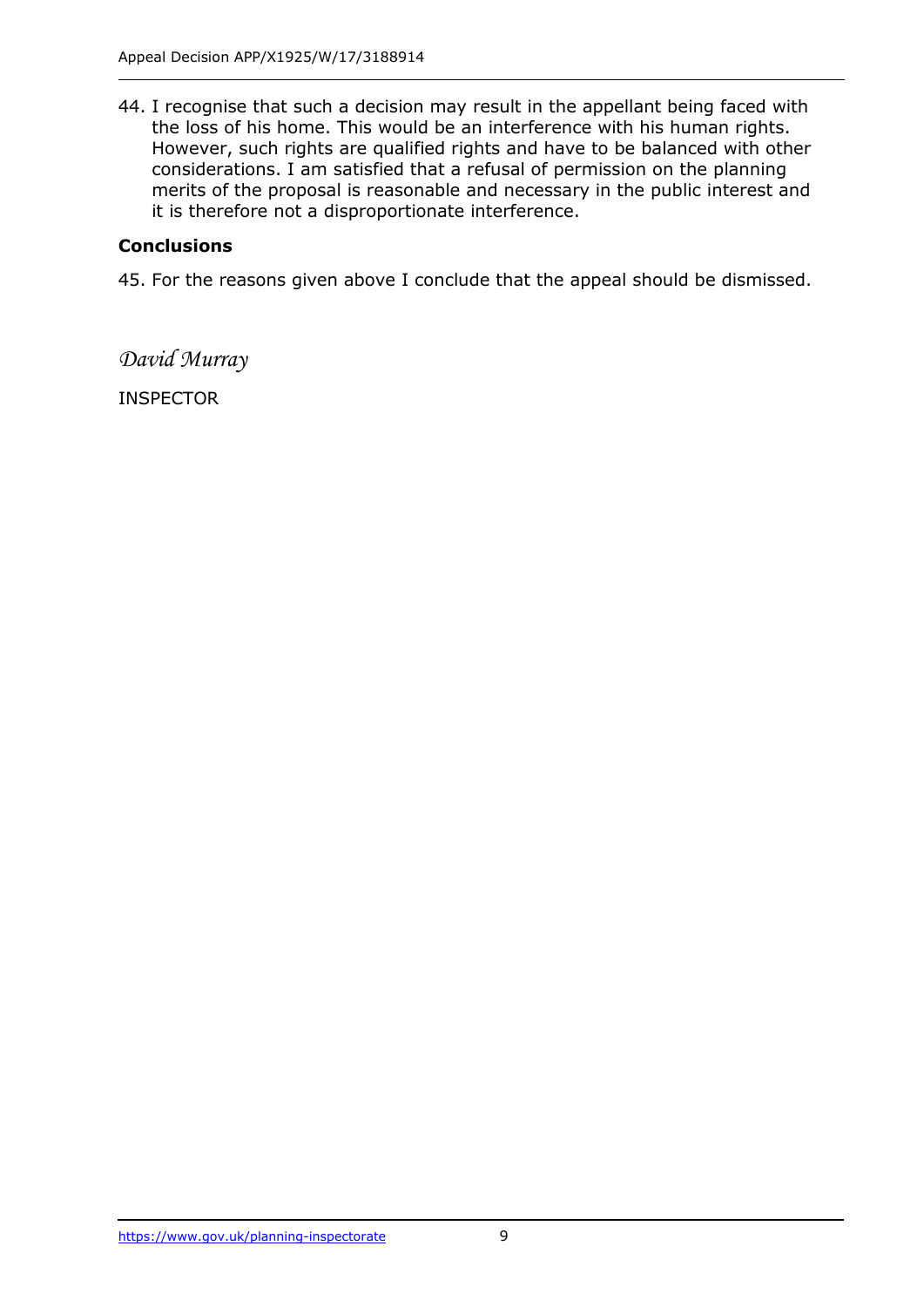44. I recognise that such a decision may result in the appellant being faced with the loss of his home. This would be an interference with his human rights. However, such rights are qualified rights and have to be balanced with other considerations. I am satisfied that a refusal of permission on the planning merits of the proposal is reasonable and necessary in the public interest and it is therefore not a disproportionate interference.

# **Conclusions**

45. For the reasons given above I conclude that the appeal should be dismissed.

*David Murray*

INSPECTOR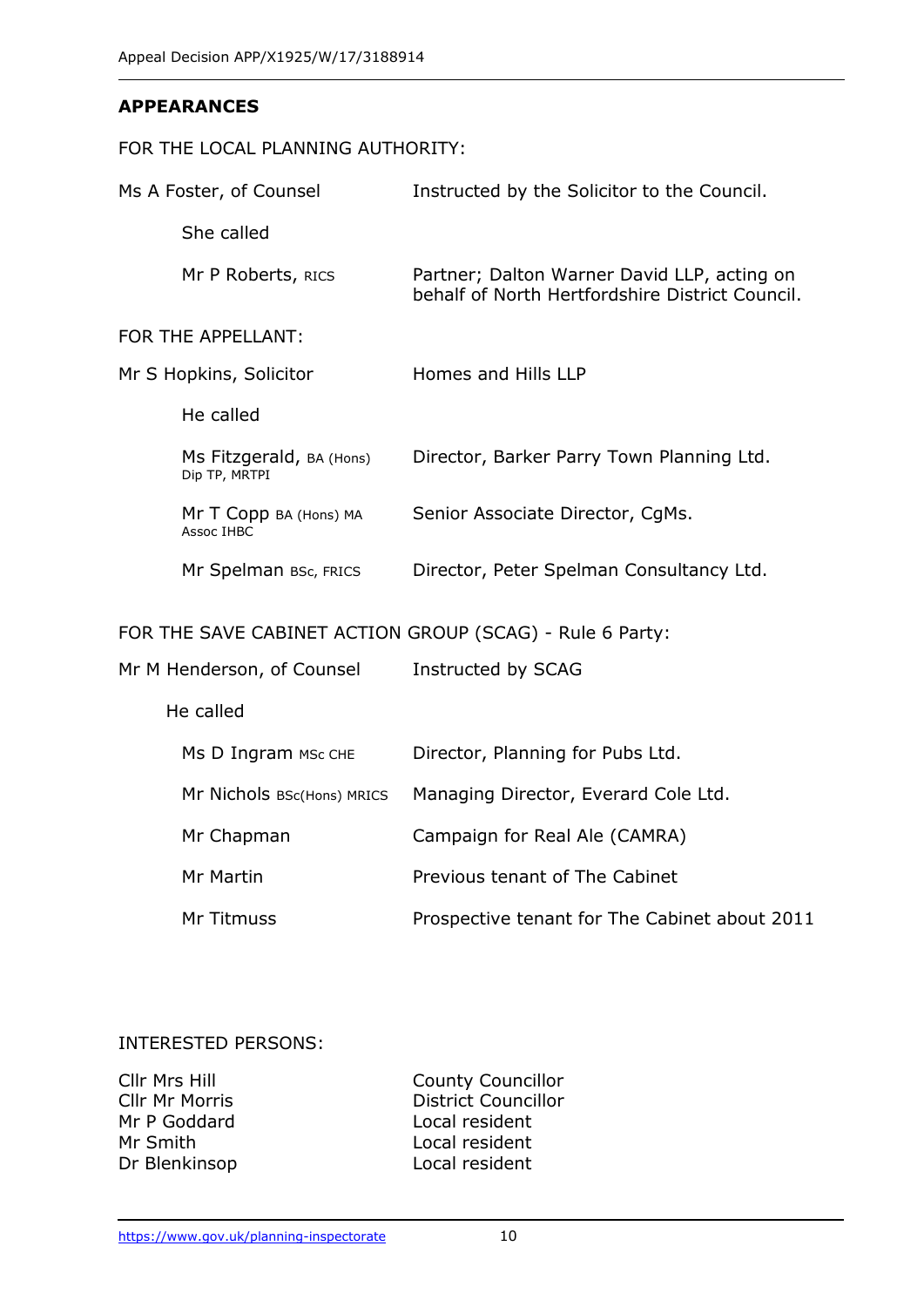#### **APPEARANCES**

#### FOR THE LOCAL PLANNING AUTHORITY:

| Ms A Foster, of Counsel                                  |                                           | Instructed by the Solicitor to the Council.                                                    |  |
|----------------------------------------------------------|-------------------------------------------|------------------------------------------------------------------------------------------------|--|
|                                                          | She called                                |                                                                                                |  |
|                                                          | Mr P Roberts, RICS                        | Partner; Dalton Warner David LLP, acting on<br>behalf of North Hertfordshire District Council. |  |
| FOR THE APPELLANT:                                       |                                           |                                                                                                |  |
| Mr S Hopkins, Solicitor                                  |                                           | Homes and Hills LLP                                                                            |  |
|                                                          | He called                                 |                                                                                                |  |
|                                                          | Ms Fitzgerald, BA (Hons)<br>Dip TP, MRTPI | Director, Barker Parry Town Planning Ltd.                                                      |  |
|                                                          | Mr T Copp BA (Hons) MA<br>Assoc IHBC      | Senior Associate Director, CgMs.                                                               |  |
|                                                          | Mr Spelman BSc, FRICS                     | Director, Peter Spelman Consultancy Ltd.                                                       |  |
| FOR THE SAVE CABINET ACTION GROUP (SCAG) - Rule 6 Party: |                                           |                                                                                                |  |
| Mr M Henderson, of Counsel                               |                                           | Instructed by SCAG                                                                             |  |
|                                                          | He called                                 |                                                                                                |  |
|                                                          | Ms D Ingram MSc CHE                       | Director, Planning for Pubs Ltd.                                                               |  |
|                                                          | Mr Nichols BSc(Hons) MRICS                | Managing Director, Everard Cole Ltd.                                                           |  |
|                                                          | Mr Chapman                                | Campaign for Real Ale (CAMRA)                                                                  |  |
|                                                          | Mr Martin                                 | Previous tenant of The Cabinet                                                                 |  |

Mr Titmuss Prospective tenant for The Cabinet about 2011

## INTERESTED PERSONS:

| Cllr Mrs Hill         |  |  |
|-----------------------|--|--|
| <b>Cllr Mr Morris</b> |  |  |
| Mr P Goddard          |  |  |
| Mr Smith              |  |  |
| Dr Blenkinsop         |  |  |

County Councillor District Councillor Local resident Local resident Local resident